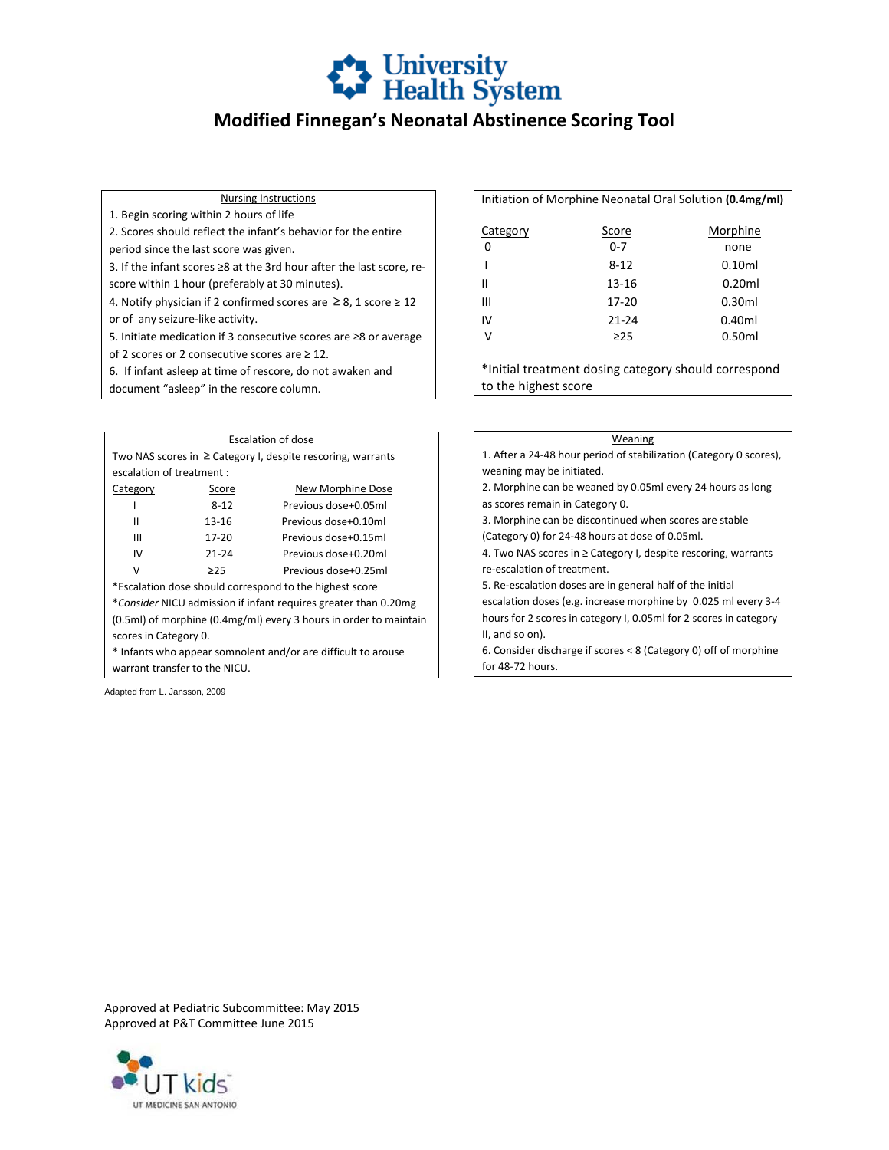University<br>
Health System

### **Modified Finnegan's Neonatal Abstinence Scoring Tool**

#### Nursing Instructions

1. Begin scoring within 2 hours of life

2. Scores should reflect the infant's behavior for the entire period since the last score was given.

3. If the infant scores ≥8 at the 3rd hour after the last score, rescore within 1 hour (preferably at 30 minutes).

4. Notify physician if 2 confirmed scores are  $\geq$  8, 1 score  $\geq$  12 or of any seizure-like activity.

5. Initiate medication if 3 consecutive scores are ≥8 or average of 2 scores or 2 consecutive scores are ≥ 12.

6. If infant asleep at time of rescore, do not awaken and

document "asleep" in the rescore column.

| Category | Score     | Morphine |
|----------|-----------|----------|
| 0        | $0 - 7$   | none     |
|          | $8 - 12$  | 0.10ml   |
| Ш        | 13-16     | 0.20ml   |
| Ш        | 17-20     | 0.30ml   |
| IV       | $21 - 24$ | 0.40ml   |
| ٧        | $\geq$ 25 | 0.50ml   |

Initial treatment dosing category should correspond to the highest score

| Escalation of dose                                                |           |                      |  |  |
|-------------------------------------------------------------------|-----------|----------------------|--|--|
| Two NAS scores in $\geq$ Category I, despite rescoring, warrants  |           |                      |  |  |
| escalation of treatment :                                         |           |                      |  |  |
| Category                                                          | Score     | New Morphine Dose    |  |  |
|                                                                   | $8 - 12$  | Previous dose+0.05ml |  |  |
| н                                                                 | $13 - 16$ | Previous dose+0.10ml |  |  |
| Ш                                                                 | $17 - 20$ | Previous dose+0.15ml |  |  |
| IV                                                                | $21 - 24$ | Previous dose+0.20ml |  |  |
| v                                                                 | >25       | Previous dose+0.25ml |  |  |
| *Escalation dose should correspond to the highest score           |           |                      |  |  |
| *Consider NICU admission if infant requires greater than 0.20mg   |           |                      |  |  |
| (0.5ml) of morphine (0.4mg/ml) every 3 hours in order to maintain |           |                      |  |  |
| scores in Category 0.                                             |           |                      |  |  |
| * Infants who appear somnolent and/or are difficult to arouse     |           |                      |  |  |
| warrant transfer to the NICU.                                     |           |                      |  |  |

Adapted from L. Jansson, 2009

#### Weaning

1. After a 24-48 hour period of stabilization (Category 0 scores), weaning may be initiated.

2. Morphine can be weaned by 0.05ml every 24 hours as long as scores remain in Category 0.

3. Morphine can be discontinued when scores are stable

(Category 0) for 24-48 hours at dose of 0.05ml.

4. Two NAS scores in ≥ Category I, despite rescoring, warrants re-escalation of treatment.

5. Re-escalation doses are in general half of the initial escalation doses (e.g. increase morphine by 0.025 ml every 3-4 hours for 2 scores in category I, 0.05ml for 2 scores in category II, and so on).

6. Consider discharge if scores < 8 (Category 0) off of morphine for 48-72 hours.

Approved at Pediatric Subcommittee: May 2015 Approved at P&T Committee June 2015

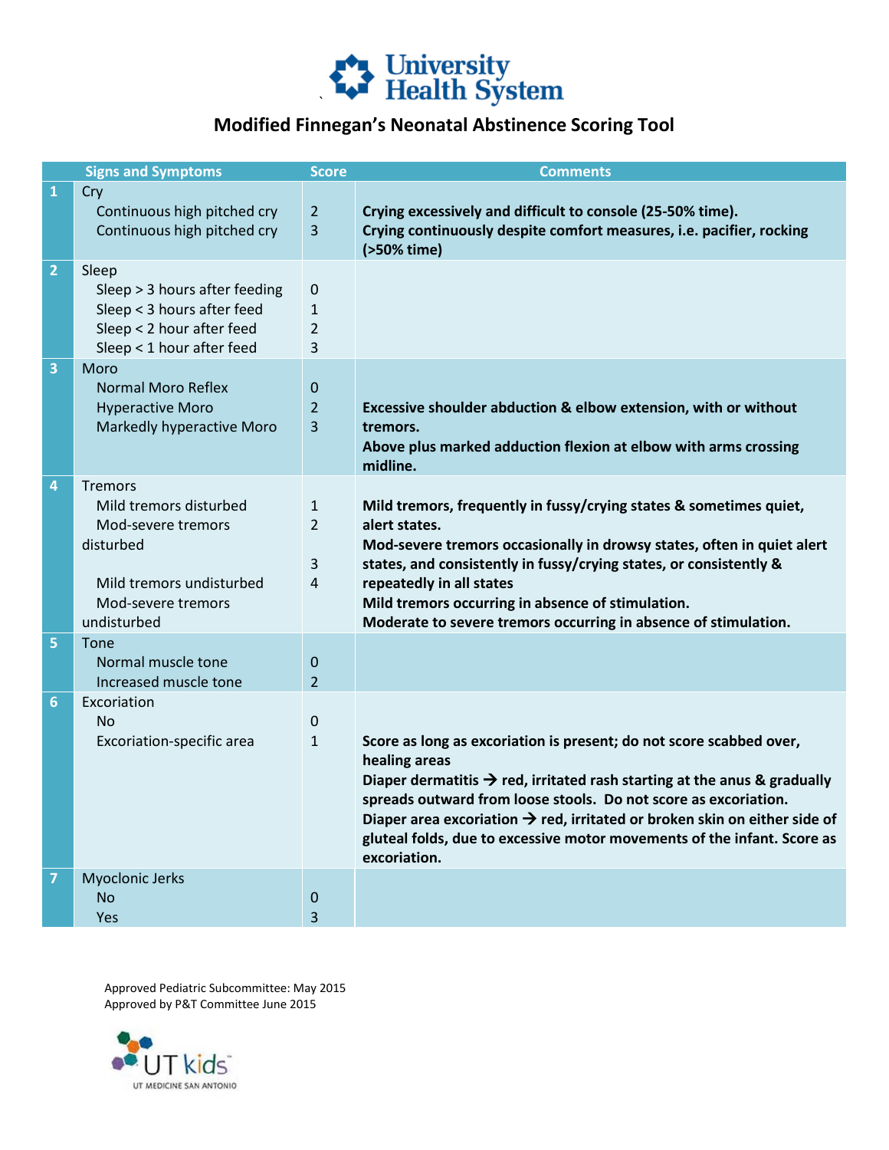# Luiversity<br>Health System

## **Modified Finnegan's Neonatal Abstinence Scoring Tool**

|                | <b>Signs and Symptoms</b>                                                                                                                    | <b>Score</b>                               | <b>Comments</b>                                                                                                                                                                                                                                                                                                                                                                                                                     |
|----------------|----------------------------------------------------------------------------------------------------------------------------------------------|--------------------------------------------|-------------------------------------------------------------------------------------------------------------------------------------------------------------------------------------------------------------------------------------------------------------------------------------------------------------------------------------------------------------------------------------------------------------------------------------|
| $\mathbf{1}$   | Cry<br>Continuous high pitched cry<br>Continuous high pitched cry                                                                            | $\overline{2}$<br>3                        | Crying excessively and difficult to console (25-50% time).<br>Crying continuously despite comfort measures, i.e. pacifier, rocking<br>(>50% time)                                                                                                                                                                                                                                                                                   |
| $\overline{2}$ | Sleep<br>Sleep > 3 hours after feeding<br>Sleep < 3 hours after feed<br>Sleep < 2 hour after feed<br>Sleep < 1 hour after feed               | $\boldsymbol{0}$<br>$\mathbf{1}$<br>2<br>3 |                                                                                                                                                                                                                                                                                                                                                                                                                                     |
| 3              | Moro<br><b>Normal Moro Reflex</b><br><b>Hyperactive Moro</b><br>Markedly hyperactive Moro                                                    | $\pmb{0}$<br>$\overline{2}$<br>3           | Excessive shoulder abduction & elbow extension, with or without<br>tremors.<br>Above plus marked adduction flexion at elbow with arms crossing<br>midline.                                                                                                                                                                                                                                                                          |
| 4              | <b>Tremors</b><br>Mild tremors disturbed<br>Mod-severe tremors<br>disturbed<br>Mild tremors undisturbed<br>Mod-severe tremors<br>undisturbed | $\mathbf{1}$<br>$\overline{2}$<br>3<br>4   | Mild tremors, frequently in fussy/crying states & sometimes quiet,<br>alert states.<br>Mod-severe tremors occasionally in drowsy states, often in quiet alert<br>states, and consistently in fussy/crying states, or consistently &<br>repeatedly in all states<br>Mild tremors occurring in absence of stimulation.<br>Moderate to severe tremors occurring in absence of stimulation.                                             |
| 5              | Tone<br>Normal muscle tone<br>Increased muscle tone                                                                                          | $\boldsymbol{0}$<br>$\overline{2}$         |                                                                                                                                                                                                                                                                                                                                                                                                                                     |
| 6              | Excoriation<br><b>No</b><br>Excoriation-specific area                                                                                        | $\pmb{0}$<br>$\mathbf{1}$                  | Score as long as excoriation is present; do not score scabbed over,<br>healing areas<br>Diaper dermatitis $\rightarrow$ red, irritated rash starting at the anus & gradually<br>spreads outward from loose stools. Do not score as excoriation.<br>Diaper area excoriation $\rightarrow$ red, irritated or broken skin on either side of<br>gluteal folds, due to excessive motor movements of the infant. Score as<br>excoriation. |
| 7              | Myoclonic Jerks<br>No<br>Yes                                                                                                                 | $\boldsymbol{0}$<br>3                      |                                                                                                                                                                                                                                                                                                                                                                                                                                     |

Approved Pediatric Subcommittee: May 2015 Approved by P&T Committee June 2015

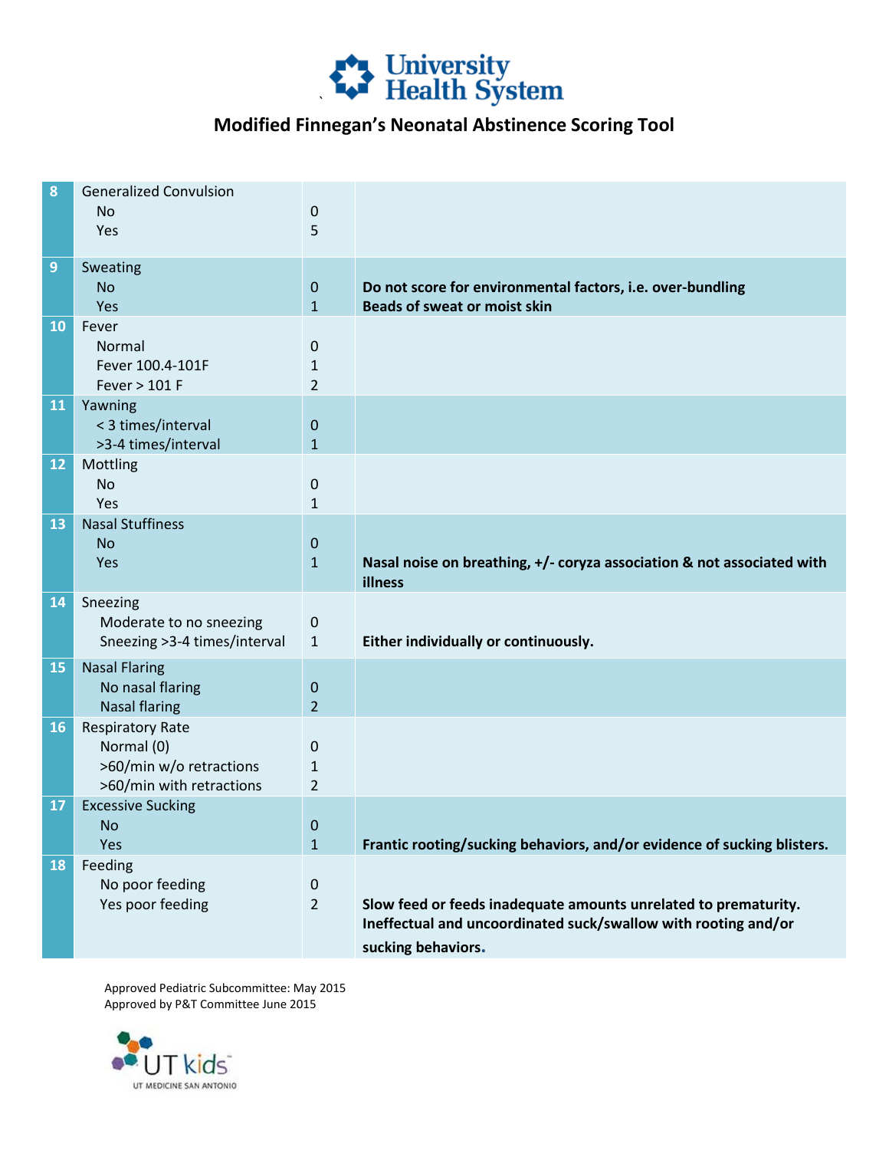

## **Modified Finnegan's Neonatal Abstinence Scoring Tool**

| 8         | <b>Generalized Convulsion</b><br><b>No</b><br>Yes                                            | $\boldsymbol{0}$<br>5               |                                                                                                                                                         |
|-----------|----------------------------------------------------------------------------------------------|-------------------------------------|---------------------------------------------------------------------------------------------------------------------------------------------------------|
| 9         | Sweating<br><b>No</b><br>Yes                                                                 | $\theta$<br>$\mathbf{1}$            | Do not score for environmental factors, i.e. over-bundling<br><b>Beads of sweat or moist skin</b>                                                       |
| 10        | Fever<br>Normal<br>Fever 100.4-101F<br>Fever > 101 F                                         | $\boldsymbol{0}$<br>1<br>2          |                                                                                                                                                         |
| 11        | Yawning<br>< 3 times/interval<br>>3-4 times/interval                                         | $\boldsymbol{0}$<br>$\mathbf{1}$    |                                                                                                                                                         |
| 12        | Mottling<br><b>No</b><br>Yes                                                                 | 0<br>$\mathbf{1}$                   |                                                                                                                                                         |
| 13        | <b>Nasal Stuffiness</b><br><b>No</b><br>Yes                                                  | $\pmb{0}$<br>$\mathbf{1}$           | Nasal noise on breathing, +/- coryza association & not associated with<br>illness                                                                       |
| 14        | Sneezing<br>Moderate to no sneezing<br>Sneezing >3-4 times/interval                          | $\pmb{0}$<br>$1\,$                  | Either individually or continuously.                                                                                                                    |
| 15        | <b>Nasal Flaring</b><br>No nasal flaring<br><b>Nasal flaring</b>                             | $\boldsymbol{0}$<br>$\overline{2}$  |                                                                                                                                                         |
| <b>16</b> | <b>Respiratory Rate</b><br>Normal (0)<br>>60/min w/o retractions<br>>60/min with retractions | 0<br>$\mathbf{1}$<br>$\overline{2}$ |                                                                                                                                                         |
| 17        | <b>Excessive Sucking</b><br>No.<br>Yes                                                       | $\mathbf 0$<br>$\mathbf{1}$         | Frantic rooting/sucking behaviors, and/or evidence of sucking blisters.                                                                                 |
| <b>18</b> | Feeding<br>No poor feeding<br>Yes poor feeding                                               | $\pmb{0}$<br>$\overline{2}$         | Slow feed or feeds inadequate amounts unrelated to prematurity.<br>Ineffectual and uncoordinated suck/swallow with rooting and/or<br>sucking behaviors. |

Approved Pediatric Subcommittee: May 2015 Approved by P&T Committee June 2015